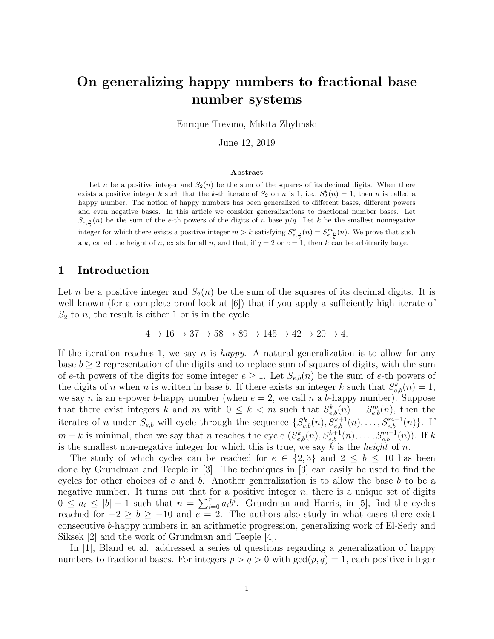# On generalizing happy numbers to fractional base number systems

Enrique Treviño, Mikita Zhylinski

June 12, 2019

#### Abstract

Let n be a positive integer and  $S_2(n)$  be the sum of the squares of its decimal digits. When there exists a positive integer k such that the k-th iterate of  $S_2$  on n is 1, i.e.,  $S_2^k(n) = 1$ , then n is called a happy number. The notion of happy numbers has been generalized to different bases, different powers and even negative bases. In this article we consider generalizations to fractional number bases. Let  $S_{e, \frac{p}{q}}(n)$  be the sum of the e-th powers of the digits of n base  $p/q$ . Let k be the smallest nonnegative integer for which there exists a positive integer  $m > k$  satisfying  $S_{e, \frac{p}{q}}^k(n) = S_{e, \frac{p}{q}}^m(n)$ . We prove that such a k, called the height of n, exists for all n, and that, if  $q = 2$  or  $e = 1$ , then k can be arbitrarily large.

## 1 Introduction

Let n be a positive integer and  $S_2(n)$  be the sum of the squares of its decimal digits. It is well known (for a complete proof look at [6]) that if you apply a sufficiently high iterate of  $S_2$  to n, the result is either 1 or is in the cycle

$$
4 \rightarrow 16 \rightarrow 37 \rightarrow 58 \rightarrow 89 \rightarrow 145 \rightarrow 42 \rightarrow 20 \rightarrow 4.
$$

If the iteration reaches 1, we say n is happy. A natural generalization is to allow for any base  $b \geq 2$  representation of the digits and to replace sum of squares of digits, with the sum of e-th powers of the digits for some integer  $e \geq 1$ . Let  $S_{e,b}(n)$  be the sum of e-th powers of the digits of n when n is written in base b. If there exists an integer k such that  $S_{e,b}^k(n) = 1$ , we say *n* is an *e*-power *b*-happy number (when  $e = 2$ , we call *n* a *b*-happy number). Suppose that there exist integers k and m with  $0 \leq k < m$  such that  $S_{e,b}^k(n) = S_{e,b}^m(n)$ , then the iterates of *n* under  $S_{e,b}$  will cycle through the sequence  $\{S_{e,b}^k(n), S_{e,b}^{k+1}(n), \ldots, S_{e,b}^{m-1}(n)\}$ . If  $m - k$  is minimal, then we say that n reaches the cycle  $(S_{e,b}^k(n), S_{e,b}^{k+1}(n), \ldots, S_{e,b}^{m-1}(n))$ . If k is the smallest non-negative integer for which this is true, we say  $k$  is the *height* of  $n$ .

The study of which cycles can be reached for  $e \in \{2,3\}$  and  $2 \leq b \leq 10$  has been done by Grundman and Teeple in [3]. The techniques in [3] can easily be used to find the cycles for other choices of e and b. Another generalization is to allow the base b to be a negative number. It turns out that for a positive integer  $n$ , there is a unique set of digits  $0 \le a_i \le |b| - 1$  such that  $n = \sum_{i=0}^r a_i b^i$ . Grundman and Harris, in [5], find the cycles reached for  $-2 \ge b \ge -10$  and  $e = 2$ . The authors also study in what cases there exist consecutive b-happy numbers in an arithmetic progression, generalizing work of El-Sedy and Siksek [2] and the work of Grundman and Teeple [4].

In [1], Bland et al. addressed a series of questions regarding a generalization of happy numbers to fractional bases. For integers  $p > q > 0$  with  $gcd(p, q) = 1$ , each positive integer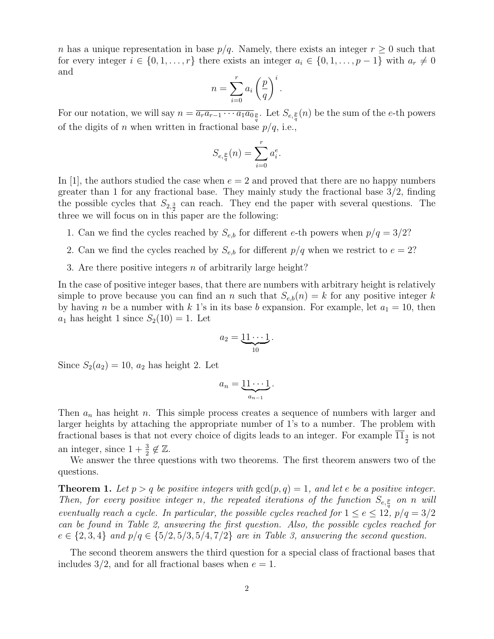n has a unique representation in base  $p/q$ . Namely, there exists an integer  $r \geq 0$  such that for every integer  $i \in \{0, 1, \ldots, r\}$  there exists an integer  $a_i \in \{0, 1, \ldots, p-1\}$  with  $a_r \neq 0$ and

$$
n = \sum_{i=0}^{r} a_i \left(\frac{p}{q}\right)^i.
$$

For our notation, we will say  $n = \overline{a_r a_{r-1} \cdots a_1 a_0}_{\frac{p}{q}}$ . Let  $S_{e, \frac{p}{q}}(n)$  be the sum of the e-th powers of the digits of n when written in fractional base  $p/q$ , i.e.,

$$
S_{e,\frac{p}{q}}(n) = \sum_{i=0}^{r} a_i^e.
$$

In [1], the authors studied the case when  $e = 2$  and proved that there are no happy numbers greater than 1 for any fractional base. They mainly study the fractional base  $3/2$ , finding the possible cycles that  $S_{2,\frac{3}{2}}$  can reach. They end the paper with several questions. The three we will focus on in this paper are the following:

- 1. Can we find the cycles reached by  $S_{e,b}$  for different e-th powers when  $p/q = 3/2$ ?
- 2. Can we find the cycles reached by  $S_{e,b}$  for different  $p/q$  when we restrict to  $e = 2$ ?
- 3. Are there positive integers n of arbitrarily large height?

In the case of positive integer bases, that there are numbers with arbitrary height is relatively simple to prove because you can find an n such that  $S_{e,b}(n) = k$  for any positive integer k by having *n* be a number with *k* 1's in its base *b* expansion. For example, let  $a_1 = 10$ , then  $a_1$  has height 1 since  $S_2(10) = 1$ . Let

$$
a_2=\underbrace{11\cdots 1}_{10}.
$$

Since  $S_2(a_2) = 10$ ,  $a_2$  has height 2. Let

$$
a_n=\underbrace{11\cdots 1}_{a_{n-1}}.
$$

Then  $a_n$  has height n. This simple process creates a sequence of numbers with larger and larger heights by attaching the appropriate number of 1's to a number. The problem with fractional bases is that not every choice of digits leads to an integer. For example  $\overline{11}_{\frac{3}{2}}$  is not an integer, since  $1 + \frac{3}{2} \notin \mathbb{Z}$ .

We answer the three questions with two theorems. The first theorem answers two of the questions.

**Theorem 1.** Let  $p > q$  be positive integers with  $gcd(p, q) = 1$ , and let e be a positive integer. Then, for every positive integer n, the repeated iterations of the function  $S_{e, \frac{p}{q}}$  on n will eventually reach a cycle. In particular, the possible cycles reached for  $1 \le e \le 12$ ,  $p/q = 3/2$ can be found in Table 2, answering the first question. Also, the possible cycles reached for  $e \in \{2,3,4\}$  and  $p/q \in \{5/2,5/3,5/4,7/2\}$  are in Table 3, answering the second question.

The second theorem answers the third question for a special class of fractional bases that includes 3/2, and for all fractional bases when  $e = 1$ .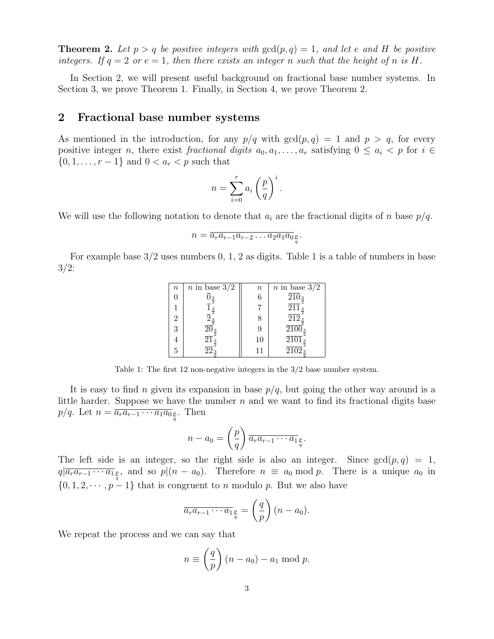**Theorem 2.** Let  $p > q$  be positive integers with  $gcd(p, q) = 1$ , and let e and H be positive integers. If  $q = 2$  or  $e = 1$ , then there exists an integer n such that the height of n is H.

In Section 2, we will present useful background on fractional base number systems. In Section 3, we prove Theorem 1. Finally, in Section 4, we prove Theorem 2.

#### 2 Fractional base number systems

As mentioned in the introduction, for any  $p/q$  with  $gcd(p,q) = 1$  and  $p > q$ , for every positive integer n, there exist fractional digits  $a_0, a_1, \ldots, a_r$  satisfying  $0 \le a_i < p$  for  $i \in$  $\{0, 1, \ldots, r - 1\}$  and  $0 < a_r < p$  such that

$$
n = \sum_{i=0}^{r} a_i \left(\frac{p}{q}\right)^i.
$$

We will use the following notation to denote that  $a_i$  are the fractional digits of n base  $p/q$ .

$$
n = \overline{a_r a_{r-1} a_{r-2} \dots a_2 a_1 a_0}_{\frac{p}{q}}.
$$

For example base 3/2 uses numbers 0, 1, 2 as digits. Table 1 is a table of numbers in base  $3/2$ :

| $\it n$ | <i>n</i> in base $3/2$        | $\it n$ | <i>n</i> in base $3/2$         |
|---------|-------------------------------|---------|--------------------------------|
|         | $\frac{3}{2}$                 | 6       | $\overline{210}_3$             |
|         | $\frac{3}{2}$                 |         | $\overline{211}_3$             |
| 2       |                               |         | $\overline{212}_3$             |
| 3       | $\overline{20}_{\frac{3}{2}}$ | 9       | $\overline{2100}_{3}$          |
| 4       | $\overline{21}_{\frac{3}{2}}$ | 10      | $\overline{2101}$ <sub>3</sub> |
| 5       | $22\,$                        | 11      | $\overline{2102}$ <sub>3</sub> |

Table 1: The first 12 non-negative integers in the 3/2 base number system.

It is easy to find n given its expansion in base  $p/q$ , but going the other way around is a little harder. Suppose we have the number  $n$  and we want to find its fractional digits base  $p/q$ . Let  $n = \overline{a_r a_{r-1} \cdots a_1 a_0}_{\frac{p}{q}}$ . Then

$$
n-a_0=\left(\frac{p}{q}\right)\overline{a_ra_{r-1}\cdots a_1}_{\frac{p}{q}}.
$$

The left side is an integer, so the right side is also an integer. Since  $gcd(p, q) = 1$ ,  $q|\overline{a_ra_{r-1}\cdots a_1}_{q}|$ , and so  $p|(n-a_0)$ . Therefore  $n \equiv a_0 \bmod p$ . There is a unique  $a_0$  in  $\{0, 1, 2, \dots, p-1\}$  that is congruent to n modulo p. But we also have

$$
\overline{a_r a_{r-1} \cdots a_1}_{\frac{p}{q}} = \left(\frac{q}{p}\right) (n - a_0).
$$

We repeat the process and we can say that

$$
n \equiv \left(\frac{q}{p}\right)(n-a_0) - a_1 \bmod p.
$$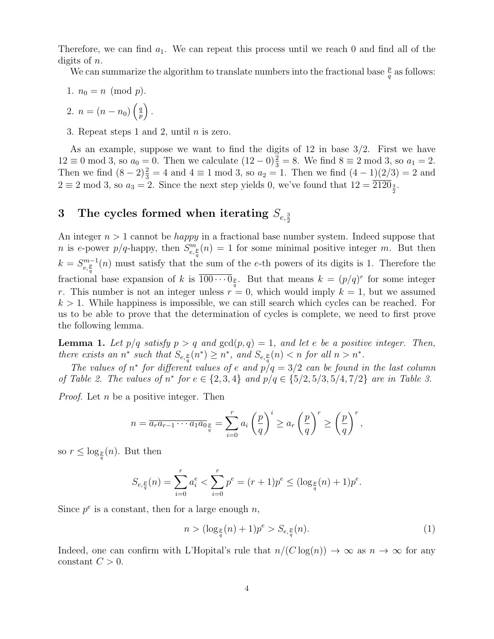Therefore, we can find  $a_1$ . We can repeat this process until we reach 0 and find all of the digits of n.

We can summarize the algorithm to translate numbers into the fractional base  $\frac{p}{q}$  as follows:

1.  $n_0 = n \pmod{p}$ .

$$
2. \, n = (n - n_0) \left(\frac{q}{p}\right).
$$

3. Repeat steps 1 and 2, until  $n$  is zero.

As an example, suppose we want to find the digits of 12 in base  $3/2$ . First we have  $12 \equiv 0 \mod 3$ , so  $a_0 = 0$ . Then we calculate  $(12 - 0)\frac{2}{3} = 8$ . We find  $8 \equiv 2 \mod 3$ , so  $a_1 = 2$ . Then we find  $(8-2)^{\frac{2}{3}} = 4$  and  $4 \equiv 1 \mod 3$ , so  $a_2 = 1$ . Then we find  $(4-1)(2/3) = 2$  and  $2 \equiv 2 \mod 3$ , so  $a_3 = 2$ . Since the next step yields 0, we've found that  $12 = \overline{2120}_{\frac{3}{2}}$ .

# $3$  The cycles formed when iterating  $S_{e,\frac{3}{2}}$

An integer  $n > 1$  cannot be *happy* in a fractional base number system. Indeed suppose that *n* is e-power  $p/q$ -happy, then  $S_e^m$  $\binom{m}{e,\frac{p}{q}}(n) = 1$  for some minimal positive integer m. But then  $k = S_{e}^{m-1}$  $e^{m-1}_{e,q}(n)$  must satisfy that the sum of the e-th powers of its digits is 1. Therefore the fractional base expansion of k is  $\overline{100\cdots0_g}$ . But that means  $k = (p/q)^r$  for some integer r. This number is not an integer unless  $r = 0$ , which would imply  $k = 1$ , but we assumed  $k > 1$ . While happiness is impossible, we can still search which cycles can be reached. For us to be able to prove that the determination of cycles is complete, we need to first prove the following lemma.

**Lemma 1.** Let  $p/q$  satisfy  $p > q$  and  $gcd(p,q) = 1$ , and let e be a positive integer. Then, there exists an  $n^*$  such that  $S_{e,\frac{p}{q}}(n^*) \geq n^*$ , and  $S_{e,\frac{p}{q}}(n) < n$  for all  $n > n^*$ .

The values of  $n^*$  for different values of e and  $p/q = 3/2$  can be found in the last column of Table 2. The values of  $n^*$  for  $e \in \{2,3,4\}$  and  $p/q \in \{5/2,5/3,5/4,7/2\}$  are in Table 3.

*Proof.* Let *n* be a positive integer. Then

$$
n = \overline{a_r a_{r-1} \cdots a_1 a_0}_{\frac{p}{q}} = \sum_{i=0}^r a_i \left(\frac{p}{q}\right)^i \geq a_r \left(\frac{p}{q}\right)^r \geq \left(\frac{p}{q}\right)^r,
$$

so  $r \leq \log_{\frac{p}{q}}(n)$ . But then

$$
S_{e,\frac{p}{q}}(n) = \sum_{i=0}^{r} a_i^e < \sum_{i=0}^{r} p^e = (r+1)p^e \le (\log_{\frac{p}{q}}(n) + 1)p^e.
$$

Since  $p^e$  is a constant, then for a large enough  $n$ ,

$$
n > (\log_{\frac{p}{q}}(n) + 1)p^e > S_{e, \frac{p}{q}}(n). \tag{1}
$$

Indeed, one can confirm with L'Hopital's rule that  $n/(C \log(n)) \to \infty$  as  $n \to \infty$  for any constant  $C > 0$ .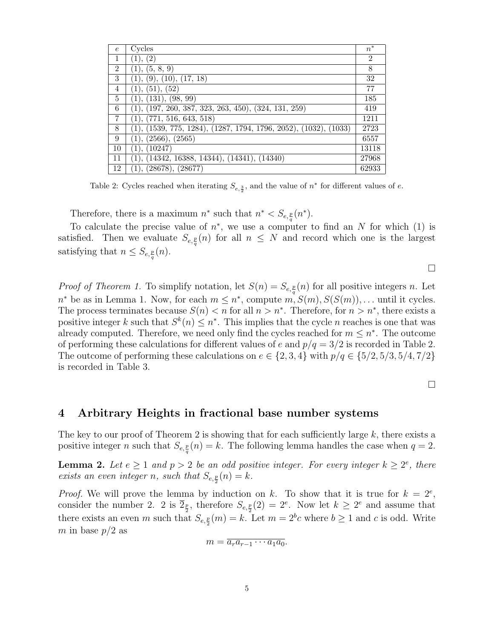| $\epsilon$     | Cycles                                                        | $n^*$          |
|----------------|---------------------------------------------------------------|----------------|
| 1              | (2)                                                           | $\overline{2}$ |
| $\overline{2}$ | (5, 8, 9)<br>(1),                                             | 8              |
| 3              | (9), (10), (17, 18)                                           | 32             |
| 4              | (51), (52)                                                    | 77             |
| 5              | (131), (98, 99)<br>(1),                                       | 185            |
| 6              | $(197, 260, 387, 323, 263, 450), (324, 131, 259)$             | 419            |
| 7              | (771, 516, 643, 518)                                          | 1211           |
| 8              | $(1539, 775, 1284), (1287, 1794, 1796, 2052), (1032), (1033)$ | 2723           |
| 9              | (2566), (2565)                                                | 6557           |
| 10             | (10247)                                                       | 13118          |
| 11             | $(14342, 16388, 14344), (14341), (14340)$                     | 27968          |
| 12             | (28678), (28677)                                              | 62933          |

Table 2: Cycles reached when iterating  $S_{e, \frac{3}{2}}$ , and the value of  $n^*$  for different values of  $e$ .

Therefore, there is a maximum  $n^*$  such that  $n^* < S_{e, \frac{p}{q}}(n^*)$ .

To calculate the precise value of  $n^*$ , we use a computer to find an N for which (1) is satisfied. Then we evaluate  $S_{e,\frac{p}{q}}(n)$  for all  $n \leq N$  and record which one is the largest satisfying that  $n \leq S_{e,\frac{p}{q}}(n)$ .

$$
\Box
$$

*Proof of Theorem 1.* To simplify notation, let  $S(n) = S_{e, \frac{p}{q}}(n)$  for all positive integers n. Let  $n^*$  be as in Lemma 1. Now, for each  $m \leq n^*$ , compute  $m, S(m), S(S(m))$ ,... until it cycles. The process terminates because  $S(n) < n$  for all  $n > n^*$ . Therefore, for  $n > n^*$ , there exists a positive integer k such that  $S^k(n) \leq n^*$ . This implies that the cycle n reaches is one that was already computed. Therefore, we need only find the cycles reached for  $m \leq n^*$ . The outcome of performing these calculations for different values of e and  $p/q = 3/2$  is recorded in Table 2. The outcome of performing these calculations on  $e \in \{2,3,4\}$  with  $p/q \in \{5/2,5/3,5/4,7/2\}$ is recorded in Table 3.

 $\Box$ 

### 4 Arbitrary Heights in fractional base number systems

The key to our proof of Theorem 2 is showing that for each sufficiently large  $k$ , there exists a positive integer *n* such that  $S_{e, \frac{p}{q}}(n) = k$ . The following lemma handles the case when  $q = 2$ .

**Lemma 2.** Let  $e \geq 1$  and  $p > 2$  be an odd positive integer. For every integer  $k \geq 2^e$ , there exists an even integer n, such that  $S_{e,\frac{p}{2}}(n) = k$ .

*Proof.* We will prove the lemma by induction on k. To show that it is true for  $k = 2^e$ , consider the number 2. 2 is  $\overline{2}_{\frac{p}{2}}$ , therefore  $S_{e,\frac{p}{2}}(2) = 2^e$ . Now let  $k \geq 2^e$  and assume that there exists an even m such that  $S_{e, \frac{p}{2}}(m) = k$ . Let  $m = 2^b c$  where  $b \ge 1$  and c is odd. Write m in base  $p/2$  as

$$
m = \overline{a_r a_{r-1} \cdots a_1 a_0}.
$$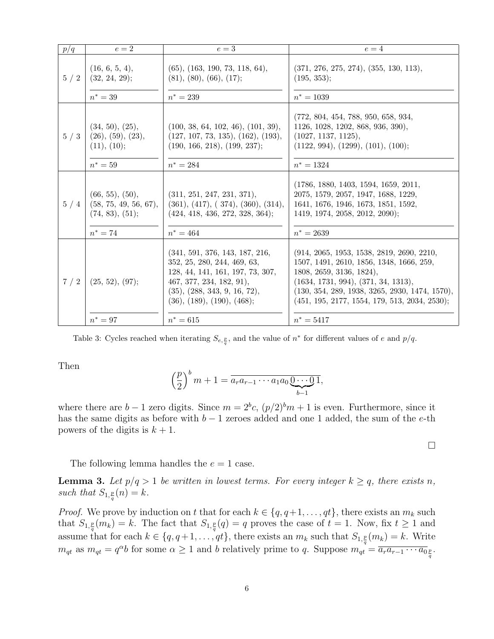|     |                                                                           | $e=3$                                                                                                                                                                                                      | $e=4$                                                                                                                                                                                                                                                                             |
|-----|---------------------------------------------------------------------------|------------------------------------------------------------------------------------------------------------------------------------------------------------------------------------------------------------|-----------------------------------------------------------------------------------------------------------------------------------------------------------------------------------------------------------------------------------------------------------------------------------|
| 5/2 | (16, 6, 5, 4),<br>(32, 24, 29);<br>$n^* = 39$                             | $(65)$ , $(163, 190, 73, 118, 64)$ ,<br>(81), (80), (66), (17);<br>$n^* = 239$                                                                                                                             | $(371, 276, 275, 274), (355, 130, 113),$<br>(195, 353);<br>$n^* = 1039$                                                                                                                                                                                                           |
| 5/3 | (34, 50), (25),<br>(26), (59), (23),<br>(11), (10);<br>$n^* = 59$         | (100, 38, 64, 102, 46), (101, 39),<br>(127, 107, 73, 135), (162), (193),<br>(190, 166, 218), (199, 237);<br>$n^* = 284$                                                                                    | (772, 804, 454, 788, 950, 658, 934,<br>1126, 1028, 1202, 868, 936, 390),<br>(1027, 1137, 1125),<br>(1122, 994), (1299), (101), (100);<br>$n^* = 1324$                                                                                                                             |
| 5/4 | (66, 55), (50),<br>(58, 75, 49, 56, 67),<br>(74, 83), (51);<br>$n^* = 74$ | (311, 251, 247, 231, 371),<br>(361), (417), (374), (360), (314),<br>(424, 418, 436, 272, 328, 364);<br>$n^* = 464$                                                                                         | (1786, 1880, 1403, 1594, 1659, 2011,<br>2075, 1579, 2057, 1947, 1688, 1229,<br>1641, 1676, 1946, 1673, 1851, 1592,<br>1419, 1974, 2058, 2012, 2090);<br>$n^* = 2639$                                                                                                              |
| 7/2 | (25, 52), (97);<br>$n^* = 97$                                             | (341, 591, 376, 143, 187, 216,<br>352, 25, 280, 244, 469, 63,<br>128, 44, 141, 161, 197, 73, 307,<br>467, 377, 234, 182, 91),<br>(35), (288, 343, 9, 16, 72),<br>(36), (189), (190), (468);<br>$n^* = 615$ | $(914, 2065, 1953, 1538, 2819, 2690, 2210,$<br>1507, 1491, 2610, 1856, 1348, 1666, 259,<br>1808, 2659, 3136, 1824),<br>(1634, 1731, 994), (371, 34, 1313),<br>$(130, 354, 289, 1938, 3265, 2930, 1474, 1570),$<br>$(451, 195, 2177, 1554, 179, 513, 2034, 2530);$<br>$n^* = 5417$ |

| Table 3: Cycles reached when iterating $S_{e,\frac{p}{q}}$ , and the value of $n^*$ for different values of e and $p/q$ . |  |
|---------------------------------------------------------------------------------------------------------------------------|--|
|---------------------------------------------------------------------------------------------------------------------------|--|

Then

$$
\left(\frac{p}{2}\right)^b m + 1 = \overline{a_r a_{r-1} \cdots a_1 a_0 \underbrace{0 \cdots 0}_{b-1}},
$$

where there are  $b-1$  zero digits. Since  $m=2^b c$ ,  $(p/2)^b m+1$  is even. Furthermore, since it has the same digits as before with  $b - 1$  zeroes added and one 1 added, the sum of the e-th powers of the digits is  $k + 1$ .

The following lemma handles the  $e = 1$  case.

**Lemma 3.** Let  $p/q > 1$  be written in lowest terms. For every integer  $k \geq q$ , there exists n, such that  $S_{1,\frac{p}{q}}(n) = k$ .

*Proof.* We prove by induction on t that for each  $k \in \{q, q+1, \ldots, qt\}$ , there exists an  $m_k$  such that  $S_{1,\frac{p}{q}}(m_k) = k$ . The fact that  $S_{1,\frac{p}{q}}(q) = q$  proves the case of  $t = 1$ . Now, fix  $t \ge 1$  and assume that for each  $k \in \{q, q+1, \ldots, qt\}$ , there exists an  $m_k$  such that  $S_{1, \frac{p}{q}}(m_k) = k$ . Write  $m_{qt}$  as  $m_{qt} = q^{\alpha}b$  for some  $\alpha \geq 1$  and b relatively prime to q. Suppose  $m_{qt} = \overline{a_r a_{r-1} \cdots a_0}_{\frac{p}{q}}$ .

 $\Box$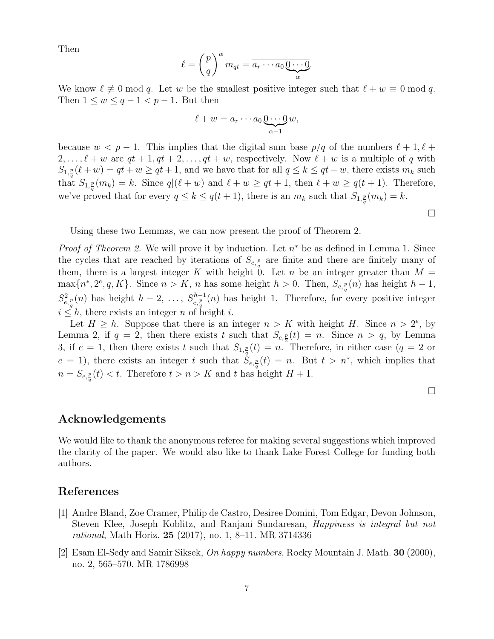Then

$$
\ell = \left(\frac{p}{q}\right)^{\alpha} m_{qt} = \overline{a_r \cdots a_0 \underbrace{0 \cdots 0}_{\alpha}}.
$$

We know  $\ell \not\equiv 0 \mod q$ . Let w be the smallest positive integer such that  $\ell + w \equiv 0 \mod q$ . Then  $1 \leq w \leq q-1 < p-1$ . But then

$$
\ell + w = \overline{a_r \cdots a_0 \underbrace{0 \cdots 0}_{\alpha-1} w},
$$

because  $w < p - 1$ . This implies that the digital sum base  $p/q$  of the numbers  $\ell + 1, \ell +$  $2, \ldots, \ell + w$  are  $qt + 1, qt + 2, \ldots, qt + w$ , respectively. Now  $\ell + w$  is a multiple of q with  $S_{1,\frac{p}{q}}(\ell+w) = qt+w \geq qt+1$ , and we have that for all  $q \leq k \leq qt+w$ , there exists  $m_k$  such that  $S_{1,\frac{p}{q}}(m_k) = k$ . Since  $q(\ell+w)$  and  $\ell+w \ge qt+1$ , then  $\ell+w \ge q(t+1)$ . Therefore, we've proved that for every  $q \leq k \leq q(t+1)$ , there is an  $m_k$  such that  $S_{1,\frac{p}{q}}(m_k) = k$ .

 $\Box$ 

Using these two Lemmas, we can now present the proof of Theorem 2.

*Proof of Theorem 2.* We will prove it by induction. Let  $n^*$  be as defined in Lemma 1. Since the cycles that are reached by iterations of  $S_{e, \frac{p}{q}}$  are finite and there are finitely many of them, there is a largest integer K with height 0. Let n be an integer greater than  $M =$  $\max\{n^*, 2^e, q, K\}$ . Since  $n > K$ , n has some height  $h > 0$ . Then,  $S_{e, \frac{p}{q}}(n)$  has height  $h - 1$ ,  $S^2_{\epsilon}$  $e, \frac{p}{q}(n)$  has height  $h-2, \ldots, S_{e, \frac{p}{q}}^{h-1}$  $e_{e,q}^{h-1}(n)$  has height 1. Therefore, for every positive integer  $i \leq h$ , there exists an integer n of height i.

Let  $H \geq h$ . Suppose that there is an integer  $n > K$  with height H. Since  $n > 2^e$ , by Lemma 2, if  $q = 2$ , then there exists t such that  $S_{e, \frac{p}{2}}(t) = n$ . Since  $n > q$ , by Lemma 3, if  $e = 1$ , then there exists t such that  $S_{1,\frac{p}{q}}(t) = n$ . Therefore, in either case  $(q = 2 \text{ or }$  $e = 1$ , there exists an integer t such that  $\hat{S}_{e, \frac{p}{q}}(t) = n$ . But  $t > n^*$ , which implies that  $n = S_{e, \frac{p}{q}}(t) < t$ . Therefore  $t > n > K$  and t has height  $H + 1$ .

 $\Box$ 

## Acknowledgements

We would like to thank the anonymous referee for making several suggestions which improved the clarity of the paper. We would also like to thank Lake Forest College for funding both authors.

# References

- [1] Andre Bland, Zoe Cramer, Philip de Castro, Desiree Domini, Tom Edgar, Devon Johnson, Steven Klee, Joseph Koblitz, and Ranjani Sundaresan, Happiness is integral but not rational, Math Horiz. 25 (2017), no. 1, 8–11. MR 3714336
- [2] Esam El-Sedy and Samir Siksek, On happy numbers, Rocky Mountain J. Math.  $30$  (2000), no. 2, 565–570. MR 1786998